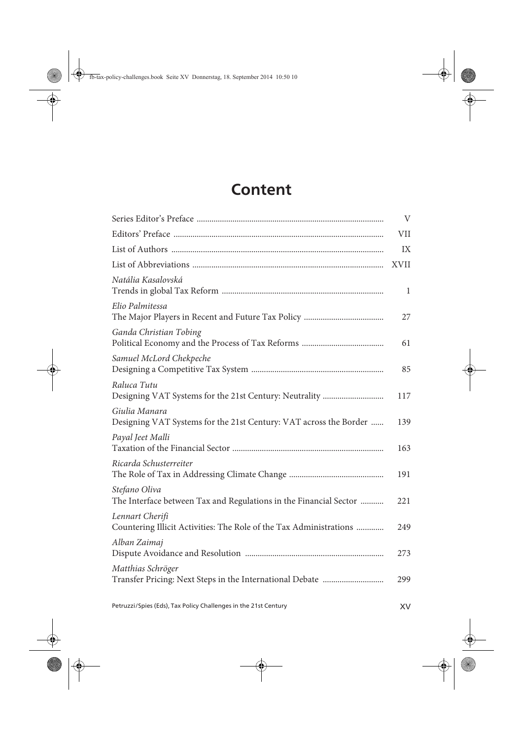## **Content**

|                                                                                       | $\rm V$     |
|---------------------------------------------------------------------------------------|-------------|
|                                                                                       | VII         |
|                                                                                       | IX          |
|                                                                                       | <b>XVII</b> |
| Natália Kasalovská                                                                    | 1           |
| Elio Palmitessa                                                                       | 27          |
| Ganda Christian Tobing                                                                | 61          |
| Samuel McLord Chekpeche                                                               | 85          |
| Raluca Tutu                                                                           | 117         |
| Giulia Manara<br>Designing VAT Systems for the 21st Century: VAT across the Border    | 139         |
| Payal Jeet Malli                                                                      | 163         |
| Ricarda Schusterreiter                                                                | 191         |
| Stefano Oliva<br>The Interface between Tax and Regulations in the Financial Sector    | 221         |
| Lennart Cherifi<br>Countering Illicit Activities: The Role of the Tax Administrations | 249         |
| Alban Zaimaj                                                                          | 273         |
| Matthias Schröger                                                                     | 299         |
|                                                                                       |             |